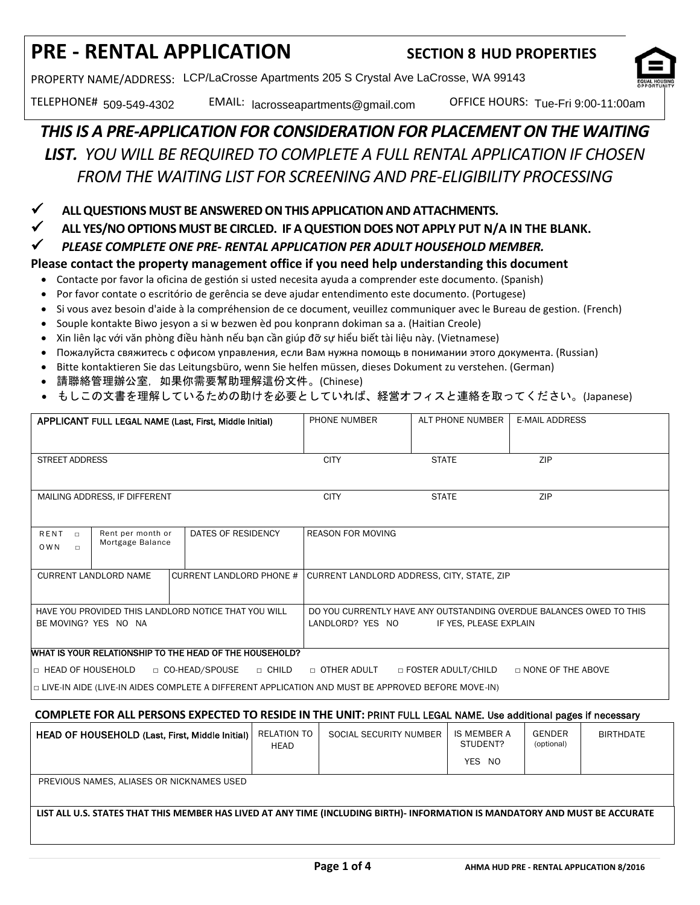# **PRE - RENTAL APPLICATION SECTION 8 HUD PROPERTIES**

PROPERTY NAME/ADDRESS: LCP/LaCrosse Apartments 205 S Crystal Ave LaCrosse, WA 99143



TELEPHONE# 509-549-4302 EMAIL: lacrosseapartments@gmail.com OFFICE HOURS: Tue-Fri 9:00-11:00am

## *THIS IS A PRE-APPLICATION FOR CONSIDERATION FOR PLACEMENT ON THE WAITING LIST. YOU WILL BE REQUIRED TO COMPLETE A FULL RENTAL APPLICATION IF CHOSEN FROM THE WAITING LIST FOR SCREENING AND PRE-ELIGIBILITY PROCESSING*

**ALL QUESTIONS MUST BE ANSWERED ON THIS APPLICATION AND ATTACHMENTS.** 

**ALL YES/NO OPTIONS MUST BE CIRCLED. IF A QUESTION DOES NOT APPLY PUT N/A IN THE BLANK.**

*PLEASE COMPLETE ONE PRE- RENTAL APPLICATION PER ADULT HOUSEHOLD MEMBER.* 

### **Please contact the property management office if you need help understanding this document**

- Contacte por favor la oficina de gestión si usted necesita ayuda a comprender este documento. (Spanish)
- Por favor contate o escritório de gerência se deve ajudar entendimento este documento. (Portugese)
- Si vous avez besoin d'aide à la compréhension de ce document, veuillez communiquer avec le Bureau de gestion. (French)
- Souple kontakte Biwo jesyon a si w bezwen èd pou konprann dokiman sa a. (Haitian Creole)
- Xin liên lạc với văn phòng điều hành nếu bạn cần giúp đỡ sự hiểu biết tài liệu này. (Vietnamese)
- Пожалуйста свяжитесь с офисом управления, если Вам нужна помощь в понимании этого документа. (Russian)
- Bitte kontaktieren Sie das Leitungsbüro, wenn Sie helfen müssen, dieses Dokument zu verstehen. (German)
- 請聯絡管理辦公室,如果你需要幫助理解這份文件。(Chinese)
- もしこの文書を理解しているための助けを必要としていれば、経営オフィスと連絡を取ってください。(Japanese)

| APPLICANT FULL LEGAL NAME (Last, First, Middle Initial)                                                                                                                                           | PHONE NUMBER             | ALT PHONE NUMBER | <b>E-MAIL ADDRESS</b> |  |
|---------------------------------------------------------------------------------------------------------------------------------------------------------------------------------------------------|--------------------------|------------------|-----------------------|--|
| <b>STREET ADDRESS</b>                                                                                                                                                                             | <b>CITY</b>              | <b>STATE</b>     | <b>ZIP</b>            |  |
| MAILING ADDRESS, IF DIFFERENT                                                                                                                                                                     | <b>CITY</b>              | <b>STATE</b>     | ZIP                   |  |
| Rent per month or<br>RENT<br>DATES OF RESIDENCY<br>$\Box$<br>Mortgage Balance<br><b>OWN</b><br>$\Box$                                                                                             | <b>REASON FOR MOVING</b> |                  |                       |  |
| <b>CURRENT LANDLORD NAME</b><br>CURRENT LANDLORD PHONE #   CURRENT LANDLORD ADDRESS, CITY, STATE, ZIP                                                                                             |                          |                  |                       |  |
| HAVE YOU PROVIDED THIS LANDLORD NOTICE THAT YOU WILL<br>DO YOU CURRENTLY HAVE ANY OUTSTANDING OVERDUE BALANCES OWED TO THIS<br>BE MOVING? YES NO NA<br>LANDLORD? YES NO<br>IF YES, PLEASE EXPLAIN |                          |                  |                       |  |
| WHAT IS YOUR RELATIONSHIP TO THE HEAD OF THE HOUSEHOLD?                                                                                                                                           |                          |                  |                       |  |
| □ CO-HEAD/SPOUSE<br>□ HEAD OF HOUSEHOLD<br>□ CHILD<br>□ FOSTER ADULT/CHILD<br>$\Box$ NONE OF THE ABOVE<br>$\Box$ OTHER ADULT                                                                      |                          |                  |                       |  |
| □ LIVE-IN AIDE (LIVE-IN AIDES COMPLETE A DIFFERENT APPLICATION AND MUST BE APPROVED BEFORE MOVE-IN)                                                                                               |                          |                  |                       |  |

## **COMPLETE FOR ALL PERSONS EXPECTED TO RESIDE IN THE UNIT:** PRINT FULL LEGAL NAME. Use additional pages if necessary

| <b>HEAD OF HOUSEHOLD (Last, First, Middle Initial)</b>                                                                       | <b>RELATION TO</b><br>HEAD | SOCIAL SECURITY NUMBER | IS MEMBER A<br>STUDENT? | GENDER<br>(optional) | <b>BIRTHDATE</b> |
|------------------------------------------------------------------------------------------------------------------------------|----------------------------|------------------------|-------------------------|----------------------|------------------|
|                                                                                                                              |                            |                        | YES NO                  |                      |                  |
| PREVIOUS NAMES, ALIASES OR NICKNAMES USED                                                                                    |                            |                        |                         |                      |                  |
|                                                                                                                              |                            |                        |                         |                      |                  |
| LIST ALL U.S. STATES THAT THIS MEMBER HAS LIVED AT ANY TIME (INCLUDING BIRTH)- INFORMATION IS MANDATORY AND MUST BE ACCURATE |                            |                        |                         |                      |                  |
|                                                                                                                              |                            |                        |                         |                      |                  |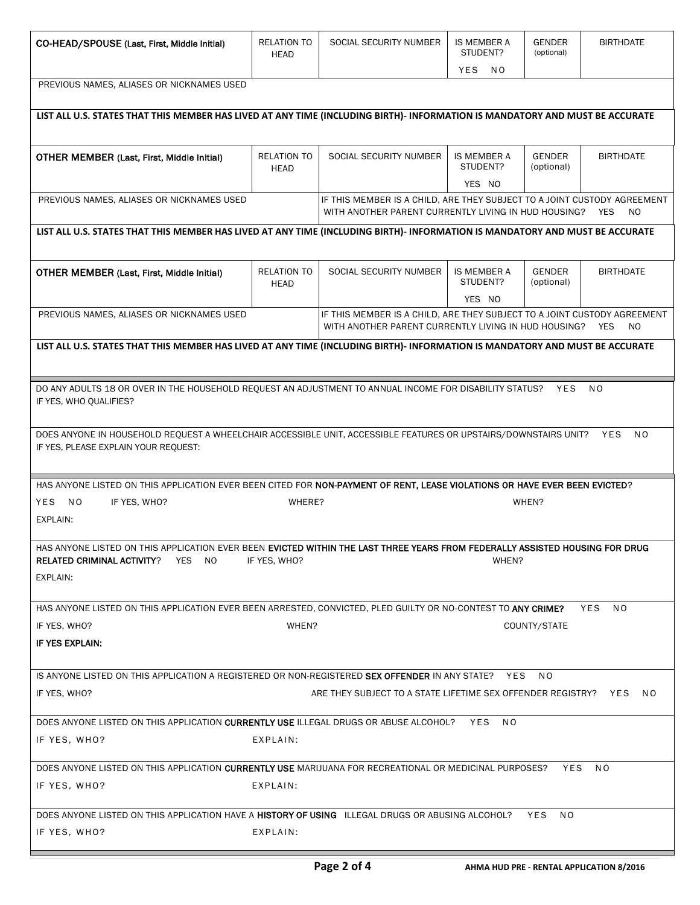| CO-HEAD/SPOUSE (Last, First, Middle Initial)                                                                                                                                                         | <b>RELATION TO</b><br>HEAD                                                                                                                      | SOCIAL SECURITY NUMBER                                                                                                               | IS MEMBER A<br>STUDENT?<br>YES NO | <b>GENDER</b><br>(optional) | <b>BIRTHDATE</b>             |
|------------------------------------------------------------------------------------------------------------------------------------------------------------------------------------------------------|-------------------------------------------------------------------------------------------------------------------------------------------------|--------------------------------------------------------------------------------------------------------------------------------------|-----------------------------------|-----------------------------|------------------------------|
| PREVIOUS NAMES, ALIASES OR NICKNAMES USED                                                                                                                                                            |                                                                                                                                                 |                                                                                                                                      |                                   |                             |                              |
| LIST ALL U.S. STATES THAT THIS MEMBER HAS LIVED AT ANY TIME (INCLUDING BIRTH)- INFORMATION IS MANDATORY AND MUST BE ACCURATE                                                                         |                                                                                                                                                 |                                                                                                                                      |                                   |                             |                              |
| OTHER MEMBER (Last, First, Middle Initial)                                                                                                                                                           | RELATION TO<br>HEAD                                                                                                                             | SOCIAL SECURITY NUMBER                                                                                                               | IS MEMBER A<br>STUDENT?           | <b>GENDER</b><br>(optional) | <b>BIRTHDATE</b>             |
| PREVIOUS NAMES, ALIASES OR NICKNAMES USED                                                                                                                                                            |                                                                                                                                                 | IF THIS MEMBER IS A CHILD, ARE THEY SUBJECT TO A JOINT CUSTODY AGREEMENT<br>WITH ANOTHER PARENT CURRENTLY LIVING IN HUD HOUSING?     | YES NO                            |                             | YES<br>NO.                   |
| LIST ALL U.S. STATES THAT THIS MEMBER HAS LIVED AT ANY TIME (INCLUDING BIRTH)- INFORMATION IS MANDATORY AND MUST BE ACCURATE                                                                         |                                                                                                                                                 |                                                                                                                                      |                                   |                             |                              |
| <b>OTHER MEMBER (Last, First, Middle Initial)</b>                                                                                                                                                    | <b>RELATION TO</b><br><b>HEAD</b>                                                                                                               | SOCIAL SECURITY NUMBER                                                                                                               | IS MEMBER A<br>STUDENT?<br>YES NO | <b>GENDER</b><br>(optional) | <b>BIRTHDATE</b>             |
| PREVIOUS NAMES, ALIASES OR NICKNAMES USED                                                                                                                                                            |                                                                                                                                                 | IF THIS MEMBER IS A CHILD, ARE THEY SUBJECT TO A JOINT CUSTODY AGREEMENT<br>WITH ANOTHER PARENT CURRENTLY LIVING IN HUD HOUSING? YES |                                   |                             | NO                           |
| LIST ALL U.S. STATES THAT THIS MEMBER HAS LIVED AT ANY TIME (INCLUDING BIRTH)- INFORMATION IS MANDATORY AND MUST BE ACCURATE                                                                         |                                                                                                                                                 |                                                                                                                                      |                                   |                             |                              |
|                                                                                                                                                                                                      |                                                                                                                                                 |                                                                                                                                      |                                   |                             |                              |
| DO ANY ADULTS 18 OR OVER IN THE HOUSEHOLD REQUEST AN ADJUSTMENT TO ANNUAL INCOME FOR DISABILITY STATUS? YES<br>IF YES, WHO QUALIFIES?                                                                |                                                                                                                                                 |                                                                                                                                      |                                   |                             | N O                          |
| IF YES, PLEASE EXPLAIN YOUR REQUEST:                                                                                                                                                                 | DOES ANYONE IN HOUSEHOLD REQUEST A WHEELCHAIR ACCESSIBLE UNIT, ACCESSIBLE FEATURES OR UPSTAIRS/DOWNSTAIRS UNIT?<br><b>YES</b><br>N <sub>O</sub> |                                                                                                                                      |                                   |                             |                              |
| HAS ANYONE LISTED ON THIS APPLICATION EVER BEEN CITED FOR NON-PAYMENT OF RENT, LEASE VIOLATIONS OR HAVE EVER BEEN EVICTED?                                                                           |                                                                                                                                                 |                                                                                                                                      |                                   |                             |                              |
| YES NO<br>IF YES, WHO?                                                                                                                                                                               | WHERE?                                                                                                                                          |                                                                                                                                      |                                   | WHEN?                       |                              |
| EXPLAIN:                                                                                                                                                                                             |                                                                                                                                                 |                                                                                                                                      |                                   |                             |                              |
| HAS ANYONE LISTED ON THIS APPLICATION EVER BEEN EVICTED WITHIN THE LAST THREE YEARS FROM FEDERALLY ASSISTED HOUSING FOR DRUG<br>YES NO<br>IF YES, WHO?<br>WHEN?<br><b>RELATED CRIMINAL ACTIVITY?</b> |                                                                                                                                                 |                                                                                                                                      |                                   |                             |                              |
| EXPLAIN:                                                                                                                                                                                             |                                                                                                                                                 |                                                                                                                                      |                                   |                             |                              |
| HAS ANYONE LISTED ON THIS APPLICATION EVER BEEN ARRESTED, CONVICTED, PLED GUILTY OR NO-CONTEST TO ANY CRIME?                                                                                         |                                                                                                                                                 |                                                                                                                                      |                                   |                             | N <sub>O</sub><br><b>YES</b> |
| WHEN?<br>IF YES, WHO?<br>COUNTY/STATE                                                                                                                                                                |                                                                                                                                                 |                                                                                                                                      |                                   |                             |                              |
| IF YES EXPLAIN:                                                                                                                                                                                      |                                                                                                                                                 |                                                                                                                                      |                                   |                             |                              |
| IS ANYONE LISTED ON THIS APPLICATION A REGISTERED OR NON-REGISTERED SEX OFFENDER IN ANY STATE? YES                                                                                                   |                                                                                                                                                 |                                                                                                                                      |                                   | N <sub>O</sub>              |                              |
| IF YES, WHO?                                                                                                                                                                                         |                                                                                                                                                 | ARE THEY SUBJECT TO A STATE LIFETIME SEX OFFENDER REGISTRY? YES                                                                      |                                   |                             | NO.                          |
| DOES ANYONE LISTED ON THIS APPLICATION CURRENTLY USE ILLEGAL DRUGS OR ABUSE ALCOHOL?                                                                                                                 |                                                                                                                                                 |                                                                                                                                      | YES<br>N O                        |                             |                              |
| IF YES, WHO?                                                                                                                                                                                         | EXPLAIN:                                                                                                                                        |                                                                                                                                      |                                   |                             |                              |
|                                                                                                                                                                                                      | DOES ANYONE LISTED ON THIS APPLICATION CURRENTLY USE MARIJUANA FOR RECREATIONAL OR MEDICINAL PURPOSES?<br>YES<br>NO.                            |                                                                                                                                      |                                   |                             |                              |
| IF YES, WHO?                                                                                                                                                                                         | EXPLAIN:                                                                                                                                        |                                                                                                                                      |                                   |                             |                              |
| DOES ANYONE LISTED ON THIS APPLICATION HAVE A HISTORY OF USING ILLEGAL DRUGS OR ABUSING ALCOHOL?                                                                                                     |                                                                                                                                                 |                                                                                                                                      |                                   | <b>YES</b><br>NO.           |                              |
| IF YES, WHO?                                                                                                                                                                                         |                                                                                                                                                 |                                                                                                                                      |                                   |                             |                              |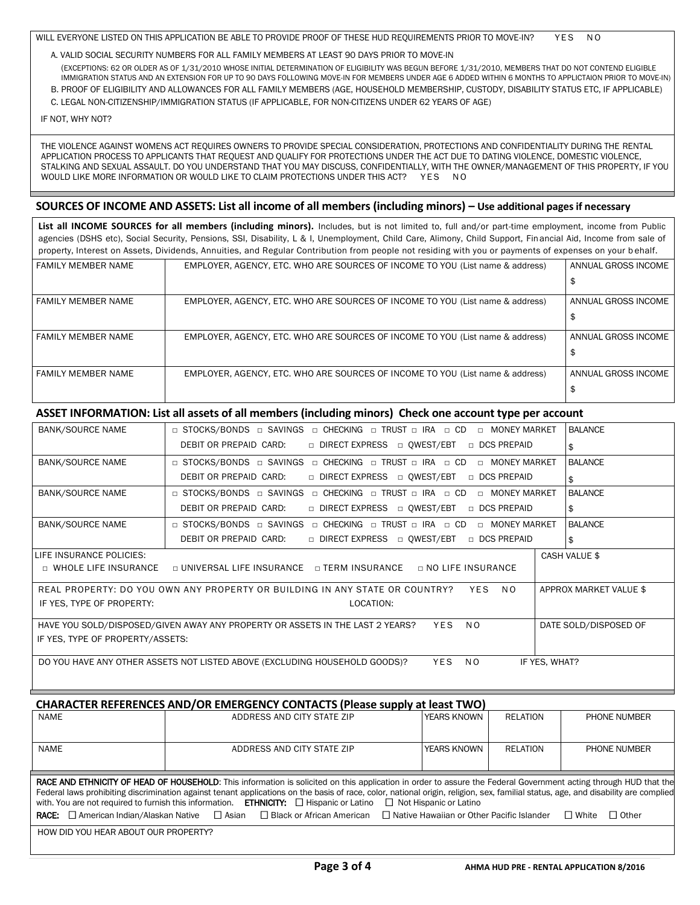WILL EVERYONE LISTED ON THIS APPLICATION BE ABLE TO PROVIDE PROOF OF THESE HUD REQUIREMENTS PRIOR TO MOVE-IN? YES NO

A. VALID SOCIAL SECURITY NUMBERS FOR ALL FAMILY MEMBERS AT LEAST 90 DAYS PRIOR TO MOVE-IN (EXCEPTIONS: 62 OR OLDER AS OF 1/31/2010 WHOSE INITIAL DETERMINATION OF ELIGIBILITY WAS BEGUN BEFORE 1/31/2010, MEMBERS THAT DO NOT CONTEND ELIGIBLE IMMIGRATION STATUS AND AN EXTENSION FOR UP TO 90 DAYS FOLLOWING MOVE-IN FOR MEMBERS UNDER AGE 6 ADDED WITHIN 6 MONTHS TO APPLICTAION PRIOR TO MOVE-IN)

B. PROOF OF ELIGIBILITY AND ALLOWANCES FOR ALL FAMILY MEMBERS (AGE, HOUSEHOLD MEMBERSHIP, CUSTODY, DISABILITY STATUS ETC, IF APPLICABLE) C. LEGAL NON-CITIZENSHIP/IMMIGRATION STATUS (IF APPLICABLE, FOR NON-CITIZENS UNDER 62 YEARS OF AGE)

IF NOT, WHY NOT?

 THE VIOLENCE AGAINST WOMENS ACT REQUIRES OWNERS TO PROVIDE SPECIAL CONSIDERATION, PROTECTIONS AND CONFIDENTIALITY DURING THE RENTAL APPLICATION PROCESS TO APPLICANTS THAT REQUEST AND QUALIFY FOR PROTECTIONS UNDER THE ACT DUE TO DATING VIOLENCE, DOMESTIC VIOLENCE, STALKING AND SEXUAL ASSAULT. DO YOU UNDERSTAND THAT YOU MAY DISCUSS, CONFIDENTIALLY, WITH THE OWNER/MANAGEMENT OF THIS PROPERTY, IF YOU WOULD LIKE MORE INFORMATION OR WOULD LIKE TO CLAIM PROTECTIONS UNDER THIS ACT? YES NO

#### **SOURCES OF INCOME AND ASSETS: List all income of all members (including minors) – Use additional pages if necessary**

**List all INCOME SOURCES for all members (including minors).** Includes, but is not limited to, full and/or part-time employment, income from Public agencies (DSHS etc), Social Security, Pensions, SSI, Disability, L & I, Unemployment, Child Care, Alimony, Child Support, Financial Aid, Income from sale of property, Interest on Assets, Dividends, Annuities, and Regular Contribution from people not residing with you or payments of expenses on your b ehalf.

| <b>FAMILY MEMBER NAME</b> | EMPLOYER, AGENCY, ETC. WHO ARE SOURCES OF INCOME TO YOU (List name & address) | ANNUAL GROSS INCOME |
|---------------------------|-------------------------------------------------------------------------------|---------------------|
|                           |                                                                               |                     |
| FAMILY MEMBER NAME        | EMPLOYER, AGENCY, ETC. WHO ARE SOURCES OF INCOME TO YOU (List name & address) | ANNUAL GROSS INCOME |
|                           |                                                                               |                     |
| FAMILY MEMBER NAME        | EMPLOYER, AGENCY, ETC. WHO ARE SOURCES OF INCOME TO YOU (List name & address) | ANNUAL GROSS INCOME |
|                           |                                                                               |                     |
| <b>FAMILY MEMBER NAME</b> | EMPLOYER, AGENCY, ETC. WHO ARE SOURCES OF INCOME TO YOU (List name & address) | ANNUAL GROSS INCOME |
|                           |                                                                               |                     |

#### **ASSET INFORMATION: List all assets of all members (including minors) Check one account type per account**

| <b>BANK/SOURCE NAME</b>                                                                                                         | □ STOCKS/BONDS □ SAVINGS □ CHECKING □ TRUST □ IRA □ CD □ MONEY MARKET                                            | <b>BALANCE</b>         |  |  |
|---------------------------------------------------------------------------------------------------------------------------------|------------------------------------------------------------------------------------------------------------------|------------------------|--|--|
|                                                                                                                                 | DEBIT OR PREPAID CARD:<br>□ DIRECT EXPRESS □ QWEST/EBT<br>□ DCS PREPAID                                          | \$                     |  |  |
| <b>BANK/SOURCE NAME</b>                                                                                                         | □ STOCKS/BONDS □ SAVINGS □ CHECKING □ TRUST □ IRA □ CD<br>D MONEY MARKET                                         | <b>BALANCE</b>         |  |  |
|                                                                                                                                 | DEBIT OR PREPAID CARD:<br>□ DIRECT EXPRESS □ OWEST/EBT<br>DCS PREPAID                                            | \$                     |  |  |
| <b>BANK/SOURCE NAME</b>                                                                                                         | □ STOCKS/BONDS □ SAVINGS □ CHECKING □ TRUST □ IRA □ CD<br>n MONEY MARKET                                         | <b>BALANCE</b>         |  |  |
|                                                                                                                                 | DEBIT OR PREPAID CARD:<br>□ DIRECT EXPRESS □ OWEST/EBT<br>DCS PREPAID                                            | \$                     |  |  |
| <b>BANK/SOURCE NAME</b>                                                                                                         | □ STOCKS/BONDS □ SAVINGS □ CHECKING □ TRUST □ IRA □ CD<br>D MONEY MARKET                                         | <b>BALANCE</b>         |  |  |
|                                                                                                                                 | DEBIT OR PREPAID CARD:<br>□ DIRECT EXPRESS □ OWEST/EBT<br>DCS PREPAID                                            | \$                     |  |  |
| LIFE INSURANCE POLICIES:                                                                                                        |                                                                                                                  | <b>CASH VALUE \$</b>   |  |  |
|                                                                                                                                 | $\Box$ WHOLE LIFE INSURANCE $\Box$ UNIVERSAL LIFE INSURANCE $\Box$ TERM INSURANCE $\Box$ NO LIFE INSURANCE       |                        |  |  |
|                                                                                                                                 | REAL PROPERTY: DO YOU OWN ANY PROPERTY OR BUILDING IN ANY STATE OR COUNTRY? YES<br>N O                           | APPROX MARKET VALUE \$ |  |  |
| IF YES, TYPE OF PROPERTY:                                                                                                       | LOCATION:                                                                                                        |                        |  |  |
| N <sub>O</sub><br>HAVE YOU SOLD/DISPOSED/GIVEN AWAY ANY PROPERTY OR ASSETS IN THE LAST 2 YEARS?<br>YES<br>DATE SOLD/DISPOSED OF |                                                                                                                  |                        |  |  |
| IF YES, TYPE OF PROPERTY/ASSETS:                                                                                                |                                                                                                                  |                        |  |  |
|                                                                                                                                 | <b>YES</b><br>DO YOU HAVE ANY OTHER ASSETS NOT LISTED ABOVE (EXCLUDING HOUSEHOLD GOODS)?<br>IF YES, WHAT?<br>N O |                        |  |  |

| <b>CHARACTER REFERENCES AND/OR EMERGENCY CONTACTS (Please supply at least TWO)</b>                                                                                                                                                                                                                                                                                                                                                                                                          |                                                                                                                                                   |             |                 |                              |  |
|---------------------------------------------------------------------------------------------------------------------------------------------------------------------------------------------------------------------------------------------------------------------------------------------------------------------------------------------------------------------------------------------------------------------------------------------------------------------------------------------|---------------------------------------------------------------------------------------------------------------------------------------------------|-------------|-----------------|------------------------------|--|
| <b>NAME</b>                                                                                                                                                                                                                                                                                                                                                                                                                                                                                 | ADDRESS AND CITY STATE ZIP                                                                                                                        | YEARS KNOWN | <b>RELATION</b> | PHONE NUMBER                 |  |
|                                                                                                                                                                                                                                                                                                                                                                                                                                                                                             |                                                                                                                                                   |             |                 |                              |  |
| <b>NAME</b>                                                                                                                                                                                                                                                                                                                                                                                                                                                                                 | ADDRESS AND CITY STATE ZIP                                                                                                                        | YEARS KNOWN | <b>RELATION</b> | PHONE NUMBER                 |  |
|                                                                                                                                                                                                                                                                                                                                                                                                                                                                                             |                                                                                                                                                   |             |                 |                              |  |
| RACE AND ETHNICITY OF HEAD OF HOUSEHOLD: This information is solicited on this application in order to assure the Federal Government acting through HUD that the<br>Federal laws prohibiting discrimination against tenant applications on the basis of race, color, national origin, religion, sex, familial status, age, and disability are complied<br>with. You are not required to furnish this information. <b>ETHNICITY:</b> $\Box$ Hispanic or Latino $\Box$ Not Hispanic or Latino |                                                                                                                                                   |             |                 |                              |  |
|                                                                                                                                                                                                                                                                                                                                                                                                                                                                                             | <b>RACE:</b> $\Box$ American Indian/Alaskan Native $\Box$ Asian $\Box$ Black or African American $\Box$ Native Hawaiian or Other Pacific Islander |             |                 | $\Box$ Other<br>$\Box$ White |  |
| HOW DID YOU HEAR ABOUT OUR PROPERTY?                                                                                                                                                                                                                                                                                                                                                                                                                                                        |                                                                                                                                                   |             |                 |                              |  |